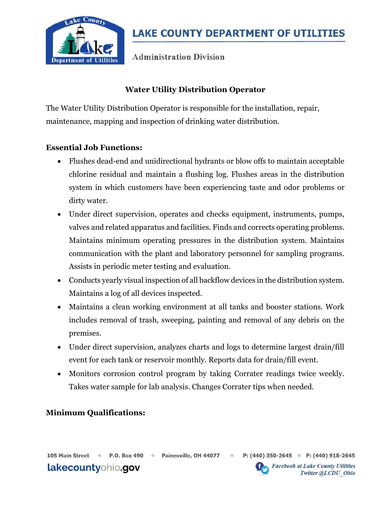

**Administration Division** 

### Water Utility Distribution Operator

The Water Utility Distribution Operator is responsible for the installation, repair, maintenance, mapping and inspection of drinking water distribution.

#### Essential Job Functions:

- Flushes dead-end and unidirectional hydrants or blow offs to maintain acceptable chlorine residual and maintain a flushing log. Flushes areas in the distribution system in which customers have been experiencing taste and odor problems or dirty water.
- Under direct supervision, operates and checks equipment, instruments, pumps, valves and related apparatus and facilities. Finds and corrects operating problems. Maintains minimum operating pressures in the distribution system. Maintains communication with the plant and laboratory personnel for sampling programs. Assists in periodic meter testing and evaluation.
- Conducts yearly visual inspection of all backflow devices in the distribution system. Maintains a log of all devices inspected.
- Maintains a clean working environment at all tanks and booster stations. Work includes removal of trash, sweeping, painting and removal of any debris on the premises.
- Under direct supervision, analyzes charts and logs to determine largest drain/fill event for each tank or reservoir monthly. Reports data for drain/fill event.
- Monitors corrosion control program by taking Corrater readings twice weekly. Takes water sample for lab analysis. Changes Corrater tips when needed.

#### Minimum Qualifications:

 $\circ$ 



105 Main Street ·

**Facebook at Lake County Utilities** Twitter @LCDU Ohio

P: (440) 350-2645 • P: (440) 918-2645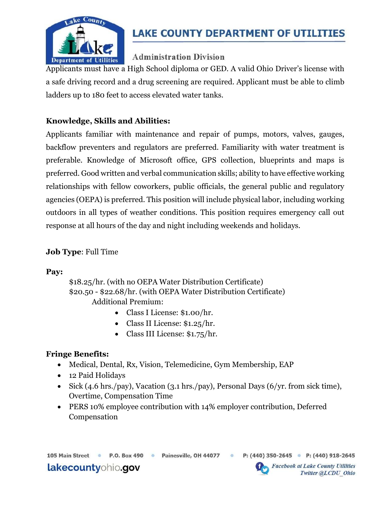

# **LAKE COUNTY DEPARTMENT OF UTILITIES**

## **Administration Division**

Applicants must have a High School diploma or GED. A valid Ohio Driver's license with a safe driving record and a drug screening are required. Applicant must be able to climb ladders up to 180 feet to access elevated water tanks.

## Knowledge, Skills and Abilities:

Applicants familiar with maintenance and repair of pumps, motors, valves, gauges, backflow preventers and regulators are preferred. Familiarity with water treatment is preferable. Knowledge of Microsoft office, GPS collection, blueprints and maps is preferred. Good written and verbal communication skills; ability to have effective working relationships with fellow coworkers, public officials, the general public and regulatory agencies (OEPA) is preferred. This position will include physical labor, including working outdoors in all types of weather conditions. This position requires emergency call out response at all hours of the day and night including weekends and holidays.

#### Job Type: Full Time

Pay:

\$18.25/hr. (with no OEPA Water Distribution Certificate) \$20.50 - \$22.68/hr. (with OEPA Water Distribution Certificate) Additional Premium:

- Class I License: \$1.00/hr.
- Class II License: \$1.25/hr.
- Class III License: \$1.75/hr.

### Fringe Benefits:

- Medical, Dental, Rx, Vision, Telemedicine, Gym Membership, EAP
- 12 Paid Holidays
- Sick (4.6 hrs./pay), Vacation (3.1 hrs./pay), Personal Days (6/yr. from sick time), Overtime, Compensation Time
- PERS 10% employee contribution with 14% employer contribution, Deferred Compensation

P.O. Box 490 . Painesville, OH 44077 .

P: (440) 350-2645 • P: (440) 918-2645



**Facebook at Lake County Utilities** Twitter @LCDU Ohio